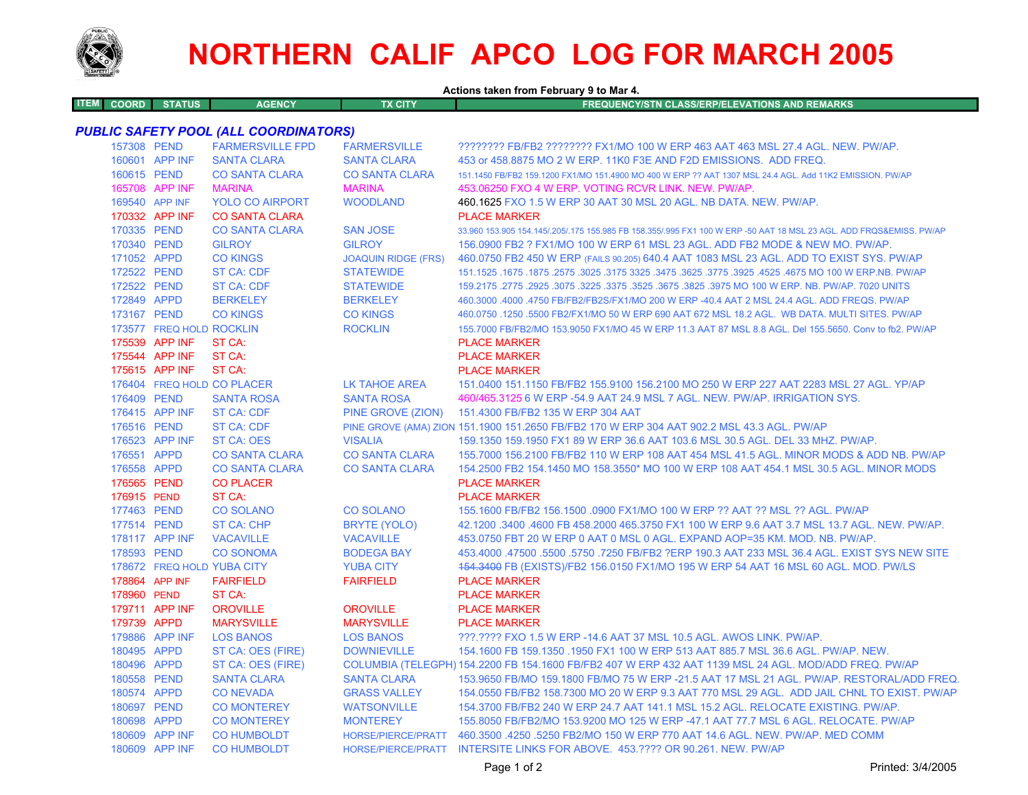

## **NORTHERN CALIF APCO LOG FOR MARCH 2005**

| <b>ITEM COORD</b> | <b>STATUS</b>            | <b>AGENCY</b>                                | <b>TX CITY</b>             | Actions taken from February 9 to Mar 4.<br><b>FREQUENCY/STN CLASS/ERP/ELEVATIONS AND REMARKS</b>                    |
|-------------------|--------------------------|----------------------------------------------|----------------------------|---------------------------------------------------------------------------------------------------------------------|
|                   |                          |                                              |                            |                                                                                                                     |
|                   |                          | <b>PUBLIC SAFETY POOL (ALL COORDINATORS)</b> |                            |                                                                                                                     |
| 157308 PEND       |                          | <b>FARMERSVILLE FPD</b>                      | <b>FARMERSVILLE</b>        | ???????? FB/FB2 ???????? FX1/MO 100 W ERP 463 AAT 463 MSL 27.4 AGL. NEW. PW/AP.                                     |
|                   | 160601 APP INF           | <b>SANTA CLARA</b>                           | <b>SANTA CLARA</b>         | 453 or 458,8875 MO 2 W ERP, 11K0 F3E AND F2D EMISSIONS. ADD FREQ.                                                   |
| 160615 PEND       |                          | <b>CO SANTA CLARA</b>                        | <b>CO SANTA CLARA</b>      | 151.1450 FB/FB2 159.1200 FX1/MO 151.4900 MO 400 W ERP ?? AAT 1307 MSL 24.4 AGL. Add 11K2 EMISSION. PW/AP            |
|                   | 165708 APP INF           | <b>MARINA</b>                                | <b>MARINA</b>              | 453.06250 FXO 4 W ERP. VOTING RCVR LINK. NEW. PW/AP.                                                                |
|                   | 169540 APP INF           | <b>YOLO CO AIRPORT</b>                       | <b>WOODLAND</b>            | 460.1625 FXO 1.5 W ERP 30 AAT 30 MSL 20 AGL, NB DATA, NEW, PW/AP.                                                   |
|                   | 170332 APP INF           | <b>CO SANTA CLARA</b>                        |                            | <b>PLACE MARKER</b>                                                                                                 |
| 170335 PEND       |                          | <b>CO SANTA CLARA</b>                        | <b>SAN JOSE</b>            | 33,960 153,905 154,145/.205/.175 155,985 FB 158,355/.995 FX1 100 W ERP -50 AAT 18 MSL 23 AGL. ADD FRQS&EMISS, PW/AP |
| 170340 PEND       |                          | <b>GILROY</b>                                | <b>GILROY</b>              | 156,0900 FB2 ? FX1/MO 100 W ERP 61 MSL 23 AGL, ADD FB2 MODE & NEW MO, PW/AP.                                        |
| 171052 APPD       |                          | <b>CO KINGS</b>                              | <b>JOAQUIN RIDGE (FRS)</b> | 460.0750 FB2 450 W ERP (FAILS 90.205) 640.4 AAT 1083 MSL 23 AGL. ADD TO EXIST SYS. PW/AP                            |
| 172522 PEND       |                          | <b>ST CA: CDF</b>                            | <b>STATEWIDE</b>           | 151.1525 .1675 .1875 .2575 .3175 .325 .3475 .3625 .3775 .3925 .3775 .3925 .4675 MO 100 W ERP.NB. PW/AP              |
| 172522 PEND       |                          | ST CA: CDF                                   | <b>STATEWIDE</b>           | 159.2175 .2775 .2925 .3075 .3225 .3375 .3525 .3675 .3825 .3975 MO 100 W ERP. NB. PW/AP. 7020 UNITS                  |
| 172849 APPD       |                          | <b>BERKELEY</b>                              | <b>BERKELEY</b>            | 460.3000 .4000 .4750 FB/FB2/FB2S/FX1/MO 200 W ERP -40.4 AAT 2 MSL 24.4 AGL. ADD FREQS. PW/AP                        |
| 173167 PEND       |                          | <b>CO KINGS</b>                              | <b>CO KINGS</b>            | 460.0750 .1250 .5500 FB2/FX1/MO 50 W ERP 690 AAT 672 MSL 18.2 AGL. WB DATA. MULTI SITES. PW/AP                      |
|                   | 173577 FREQ HOLD ROCKLIN |                                              | <b>ROCKLIN</b>             | 155.7000 FB/FB2/MO 153.9050 FX1/MO 45 W ERP 11.3 AAT 87 MSL 8.8 AGL. Del 155.5650. Conv to fb2. PW/AP               |
|                   | 175539 APP INF           | ST CA:                                       |                            | <b>PLACE MARKER</b>                                                                                                 |
|                   | 175544 APP INF           | ST CA:                                       |                            | <b>PLACE MARKER</b>                                                                                                 |
|                   | 175615 APP INF           | ST CA:                                       |                            | <b>PLACE MARKER</b>                                                                                                 |
|                   |                          | 176404 FREQ HOLD CO PLACER                   | LK TAHOE AREA              | 151.0400 151.1150 FB/FB2 155.9100 156.2100 MO 250 W ERP 227 AAT 2283 MSL 27 AGL. YP/AP                              |
| 176409 PEND       |                          | <b>SANTA ROSA</b>                            | <b>SANTA ROSA</b>          | 460/465.3125 6 W ERP -54.9 AAT 24.9 MSL 7 AGL. NEW. PW/AP. IRRIGATION SYS.                                          |
|                   | 176415 APP INF           | <b>ST CA: CDF</b>                            | PINE GROVE (ZION)          | 151.4300 FB/FB2 135 W ERP 304 AAT                                                                                   |
| 176516 PEND       |                          | ST CA: CDF                                   |                            | PINE GROVE (AMA) ZION 151.1900 151.2650 FB/FB2 170 W ERP 304 AAT 902.2 MSL 43.3 AGL. PW/AP                          |
|                   | 176523 APP INF           | ST CA: OES                                   | <b>VISALIA</b>             | 159.1350 159.1950 FX1 89 W ERP 36.6 AAT 103.6 MSL 30.5 AGL. DEL 33 MHZ. PW/AP.                                      |
| 176551 APPD       |                          | <b>CO SANTA CLARA</b>                        | <b>CO SANTA CLARA</b>      | 155.7000 156.2100 FB/FB2 110 W ERP 108 AAT 454 MSL 41.5 AGL. MINOR MODS & ADD NB. PW/AP                             |
| 176558 APPD       |                          | <b>CO SANTA CLARA</b>                        | <b>CO SANTA CLARA</b>      | 154.2500 FB2 154.1450 MO 158.3550* MO 100 W ERP 108 AAT 454.1 MSL 30.5 AGL. MINOR MODS                              |
| 176565 PEND       |                          | <b>CO PLACER</b>                             |                            | <b>PLACE MARKER</b>                                                                                                 |
| 176915 PEND       |                          | ST CA:                                       |                            | <b>PLACE MARKER</b>                                                                                                 |
| 177463 PEND       |                          | <b>CO SOLANO</b>                             | <b>CO SOLANO</b>           | 155.1600 FB/FB2 156.1500 .0900 FX1/MO 100 W ERP ?? AAT ?? MSL ?? AGL. PW/AP                                         |
| 177514 PEND       |                          | <b>ST CA: CHP</b>                            | <b>BRYTE (YOLO)</b>        | 42.1200 .3400 .4600 FB 458.2000 465.3750 FX1 100 W ERP 9.6 AAT 3.7 MSL 13.7 AGL. NEW. PW/AP.                        |
|                   | 178117 APP INF           | <b>VACAVILLE</b>                             | <b>VACAVILLE</b>           | 453.0750 FBT 20 W ERP 0 AAT 0 MSL 0 AGL. EXPAND AOP=35 KM, MOD, NB, PW/AP,                                          |
| 178593 PEND       |                          | <b>CO SONOMA</b>                             | <b>BODEGA BAY</b>          | 453.4000 .47500 .5500 .5750 .7250 FB/FB2 ?ERP 190.3 AAT 233 MSL 36.4 AGL. EXIST SYS NEW SITE                        |
|                   |                          | 178672 FREQ HOLD YUBA CITY                   | <b>YUBA CITY</b>           | 454.3400 FB (EXISTS)/FB2 156.0150 FX1/MO 195 W ERP 54 AAT 16 MSL 60 AGL. MOD. PW/LS                                 |
|                   | 178864 APP INF           | <b>FAIRFIELD</b>                             | <b>FAIRFIELD</b>           | <b>PLACE MARKER</b>                                                                                                 |
| 178960 PEND       |                          | ST CA:                                       |                            | <b>PLACE MARKER</b>                                                                                                 |
|                   | 179711 APP INF           | <b>OROVILLE</b>                              | <b>OROVILLE</b>            | <b>PLACE MARKER</b>                                                                                                 |
| 179739 APPD       |                          | <b>MARYSVILLE</b>                            | <b>MARYSVILLE</b>          | <b>PLACE MARKER</b>                                                                                                 |
|                   | 179886 APP INF           | <b>LOS BANOS</b>                             | <b>LOS BANOS</b>           | ???.???? FXO 1.5 W ERP -14.6 AAT 37 MSL 10.5 AGL. AWOS LINK. PW/AP.                                                 |
| 180495 APPD       |                          | ST CA: OES (FIRE)                            | <b>DOWNIEVILLE</b>         | 154.1600 FB 159.1350 .1950 FX1 100 W ERP 513 AAT 885.7 MSL 36.6 AGL. PW/AP. NEW.                                    |
| 180496 APPD       |                          | ST CA: OES (FIRE)                            |                            | COLUMBIA (TELEGPH) 154.2200 FB 154.1600 FB/FB2 407 W ERP 432 AAT 1139 MSL 24 AGL. MOD/ADD FREQ. PW/AP               |
| 180558 PEND       |                          | <b>SANTA CLARA</b>                           | <b>SANTA CLARA</b>         | 153,9650 FB/MO 159,1800 FB/MO 75 W ERP -21.5 AAT 17 MSL 21 AGL. PW/AP, RESTORAL/ADD FREQ.                           |
| 180574 APPD       |                          | <b>CONEVADA</b>                              | <b>GRASS VALLEY</b>        | 154,0550 FB/FB2 158,7300 MO 20 W ERP 9.3 AAT 770 MSL 29 AGL. ADD JAIL CHNL TO EXIST, PW/AP                          |
| 180697 PEND       |                          | <b>CO MONTEREY</b>                           | <b>WATSONVILLE</b>         | 154.3700 FB/FB2 240 W ERP 24.7 AAT 141.1 MSL 15.2 AGL. RELOCATE EXISTING. PW/AP.                                    |
| 180698 APPD       |                          | <b>CO MONTEREY</b>                           | <b>MONTEREY</b>            | 155.8050 FB/FB2/MO 153.9200 MO 125 W ERP -47.1 AAT 77.7 MSL 6 AGL. RELOCATE. PW/AP                                  |
|                   | 180609 APP INF           | <b>CO HUMBOLDT</b>                           |                            | HORSE/PIERCE/PRATT 460.3500 .4250 .5250 FB2/MO 150 W ERP 770 AAT 14.6 AGL. NEW. PW/AP. MED COMM                     |
|                   | 180609 APP INF           | <b>CO HUMBOLDT</b>                           |                            | HORSE/PIERCE/PRATT INTERSITE LINKS FOR ABOVE, 453.???? OR 90.261, NEW, PW/AP                                        |